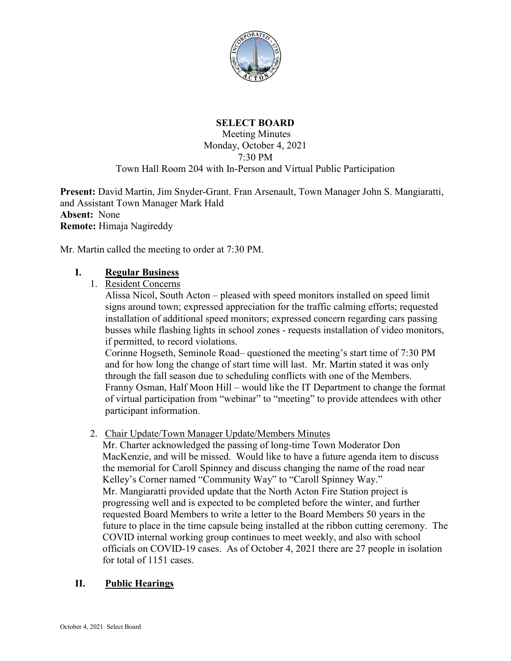

# **SELECT BOARD**

Meeting Minutes Monday, October 4, 2021 7:30 PM Town Hall Room 204 with In-Person and Virtual Public Participation

**Present:** David Martin, Jim Snyder-Grant. Fran Arsenault, Town Manager John S. Mangiaratti, and Assistant Town Manager Mark Hald **Absent:** None **Remote:** Himaja Nagireddy

Mr. Martin called the meeting to order at 7:30 PM.

## **I. Regular Business**

1. Resident Concerns

Alissa Nicol, South Acton – pleased with speed monitors installed on speed limit signs around town; expressed appreciation for the traffic calming efforts; requested installation of additional speed monitors; expressed concern regarding cars passing busses while flashing lights in school zones - requests installation of video monitors, if permitted, to record violations.

Corinne Hogseth, Seminole Road– questioned the meeting's start time of 7:30 PM and for how long the change of start time will last. Mr. Martin stated it was only through the fall season due to scheduling conflicts with one of the Members. Franny Osman, Half Moon Hill – would like the IT Department to change the format of virtual participation from "webinar" to "meeting" to provide attendees with other participant information.

2. Chair Update/Town Manager Update/Members Minutes

Mr. Charter acknowledged the passing of long-time Town Moderator Don MacKenzie, and will be missed. Would like to have a future agenda item to discuss the memorial for Caroll Spinney and discuss changing the name of the road near Kelley's Corner named "Community Way" to "Caroll Spinney Way." Mr. Mangiaratti provided update that the North Acton Fire Station project is progressing well and is expected to be completed before the winter, and further requested Board Members to write a letter to the Board Members 50 years in the future to place in the time capsule being installed at the ribbon cutting ceremony. The COVID internal working group continues to meet weekly, and also with school officials on COVID-19 cases. As of October 4, 2021 there are 27 people in isolation for total of 1151 cases.

## **II. Public Hearings**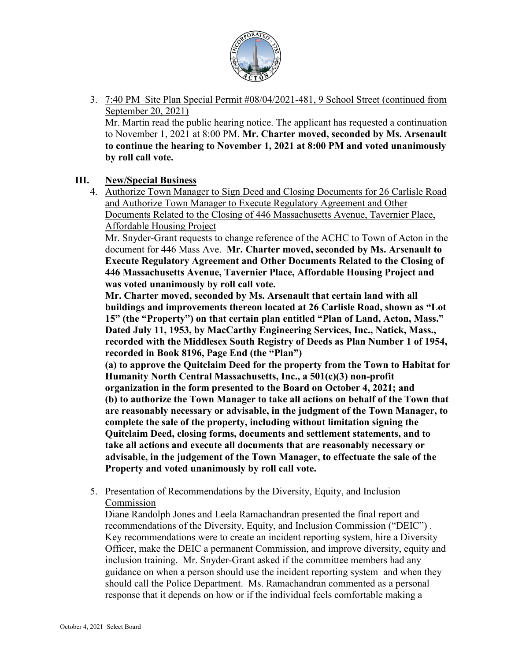

3. 7:40 PM Site Plan Special Permit #08/04/2021-481, 9 School Street (continued from September 20, 2021)

Mr. Martin read the public hearing notice. The applicant has requested a continuation to November 1, 2021 at 8:00 PM. **Mr. Charter moved, seconded by Ms. Arsenault to continue the hearing to November 1, 2021 at 8:00 PM and voted unanimously by roll call vote.**

### **III. New/Special Business**

4. Authorize Town Manager to Sign Deed and Closing Documents for 26 Carlisle Road and Authorize Town Manager to Execute Regulatory Agreement and Other Documents Related to the Closing of 446 Massachusetts Avenue, Tavernier Place, Affordable Housing Project

Mr. Snyder-Grant requests to change reference of the ACHC to Town of Acton in the document for 446 Mass Ave. **Mr. Charter moved, seconded by Ms. Arsenault to Execute Regulatory Agreement and Other Documents Related to the Closing of 446 Massachusetts Avenue, Tavernier Place, Affordable Housing Project and was voted unanimously by roll call vote.**

**Mr. Charter moved, seconded by Ms. Arsenault that certain land with all buildings and improvements thereon located at 26 Carlisle Road, shown as "Lot 15" (the "Property") on that certain plan entitled "Plan of Land, Acton, Mass." Dated July 11, 1953, by MacCarthy Engineering Services, Inc., Natick, Mass., recorded with the Middlesex South Registry of Deeds as Plan Number 1 of 1954, recorded in Book 8196, Page End (the "Plan")**

**(a) to approve the Quitclaim Deed for the property from the Town to Habitat for Humanity North Central Massachusetts, Inc., a 501(c)(3) non-profit organization in the form presented to the Board on October 4, 2021; and (b) to authorize the Town Manager to take all actions on behalf of the Town that are reasonably necessary or advisable, in the judgment of the Town Manager, to complete the sale of the property, including without limitation signing the Quitclaim Deed, closing forms, documents and settlement statements, and to take all actions and execute all documents that are reasonably necessary or advisable, in the judgement of the Town Manager, to effectuate the sale of the Property and voted unanimously by roll call vote.**

5. Presentation of Recommendations by the Diversity, Equity, and Inclusion Commission

Diane Randolph Jones and Leela Ramachandran presented the final report and recommendations of the Diversity, Equity, and Inclusion Commission ("DEIC") . Key recommendations were to create an incident reporting system, hire a Diversity Officer, make the DEIC a permanent Commission, and improve diversity, equity and inclusion training. Mr. Snyder-Grant asked if the committee members had any guidance on when a person should use the incident reporting system and when they should call the Police Department. Ms. Ramachandran commented as a personal response that it depends on how or if the individual feels comfortable making a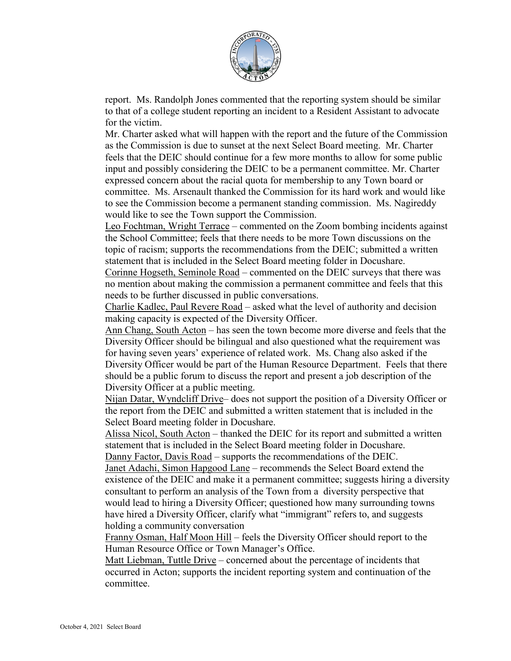

report. Ms. Randolph Jones commented that the reporting system should be similar to that of a college student reporting an incident to a Resident Assistant to advocate for the victim.

Mr. Charter asked what will happen with the report and the future of the Commission as the Commission is due to sunset at the next Select Board meeting. Mr. Charter feels that the DEIC should continue for a few more months to allow for some public input and possibly considering the DEIC to be a permanent committee. Mr. Charter expressed concern about the racial quota for membership to any Town board or committee. Ms. Arsenault thanked the Commission for its hard work and would like to see the Commission become a permanent standing commission. Ms. Nagireddy would like to see the Town support the Commission.

Leo Fochtman, Wright Terrace – commented on the Zoom bombing incidents against the School Committee; feels that there needs to be more Town discussions on the topic of racism; supports the recommendations from the DEIC; submitted a written statement that is included in the Select Board meeting folder in Docushare.

Corinne Hogseth, Seminole Road – commented on the DEIC surveys that there was no mention about making the commission a permanent committee and feels that this needs to be further discussed in public conversations.

Charlie Kadlec, Paul Revere Road – asked what the level of authority and decision making capacity is expected of the Diversity Officer.

Ann Chang, South Acton – has seen the town become more diverse and feels that the Diversity Officer should be bilingual and also questioned what the requirement was for having seven years' experience of related work. Ms. Chang also asked if the Diversity Officer would be part of the Human Resource Department. Feels that there should be a public forum to discuss the report and present a job description of the Diversity Officer at a public meeting.

Nijan Datar, Wyndcliff Drive-does not support the position of a Diversity Officer or the report from the DEIC and submitted a written statement that is included in the Select Board meeting folder in Docushare.

Alissa Nicol, South Acton – thanked the DEIC for its report and submitted a written statement that is included in the Select Board meeting folder in Docushare.

Danny Factor, Davis Road – supports the recommendations of the DEIC. Janet Adachi, Simon Hapgood Lane – recommends the Select Board extend the existence of the DEIC and make it a permanent committee; suggests hiring a diversity consultant to perform an analysis of the Town from a diversity perspective that would lead to hiring a Diversity Officer; questioned how many surrounding towns have hired a Diversity Officer, clarify what "immigrant" refers to, and suggests

holding a community conversation Franny Osman, Half Moon Hill – feels the Diversity Officer should report to the Human Resource Office or Town Manager's Office.

Matt Liebman, Tuttle Drive – concerned about the percentage of incidents that occurred in Acton; supports the incident reporting system and continuation of the committee.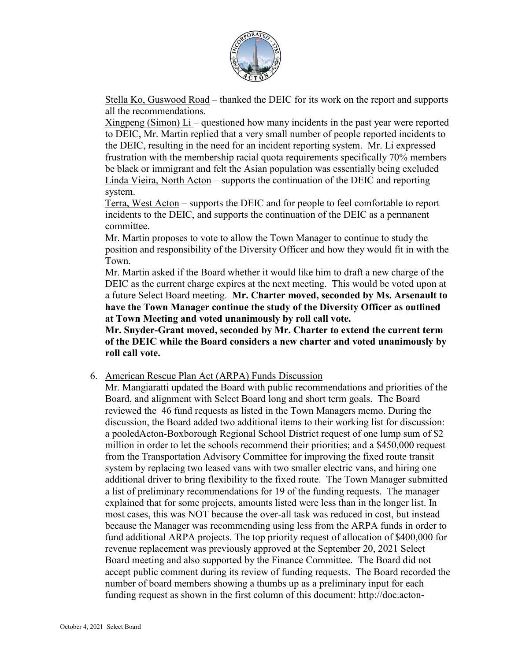

Stella Ko, Guswood Road – thanked the DEIC for its work on the report and supports all the recommendations.

Xingpeng (Simon)  $Li$  – questioned how many incidents in the past year were reported to DEIC, Mr. Martin replied that a very small number of people reported incidents to the DEIC, resulting in the need for an incident reporting system. Mr. Li expressed frustration with the membership racial quota requirements specifically 70% members be black or immigrant and felt the Asian population was essentially being excluded Linda Vieira, North Acton – supports the continuation of the DEIC and reporting system.

Terra, West Acton – supports the DEIC and for people to feel comfortable to report incidents to the DEIC, and supports the continuation of the DEIC as a permanent committee.

Mr. Martin proposes to vote to allow the Town Manager to continue to study the position and responsibility of the Diversity Officer and how they would fit in with the Town.

Mr. Martin asked if the Board whether it would like him to draft a new charge of the DEIC as the current charge expires at the next meeting. This would be voted upon at a future Select Board meeting. **Mr. Charter moved, seconded by Ms. Arsenault to have the Town Manager continue the study of the Diversity Officer as outlined at Town Meeting and voted unanimously by roll call vote.**

**Mr. Snyder-Grant moved, seconded by Mr. Charter to extend the current term of the DEIC while the Board considers a new charter and voted unanimously by roll call vote.**

#### 6. American Rescue Plan Act (ARPA) Funds Discussion

Mr. Mangiaratti updated the Board with public recommendations and priorities of the Board, and alignment with Select Board long and short term goals. The Board reviewed the 46 fund requests as listed in the Town Managers memo. During the discussion, the Board added two additional items to their working list for discussion: a pooledActon-Boxborough Regional School District request of one lump sum of \$2 million in order to let the schools recommend their priorities; and a \$450,000 request from the Transportation Advisory Committee for improving the fixed route transit system by replacing two leased vans with two smaller electric vans, and hiring one additional driver to bring flexibility to the fixed route. The Town Manager submitted a list of preliminary recommendations for 19 of the funding requests. The manager explained that for some projects, amounts listed were less than in the longer list. In most cases, this was NOT because the over-all task was reduced in cost, but instead because the Manager was recommending using less from the ARPA funds in order to fund additional ARPA projects. The top priority request of allocation of \$400,000 for revenue replacement was previously approved at the September 20, 2021 Select Board meeting and also supported by the Finance Committee. The Board did not accept public comment during its review of funding requests. The Board recorded the number of board members showing a thumbs up as a preliminary input for each funding request as shown in the first column of this document: http://doc.acton-